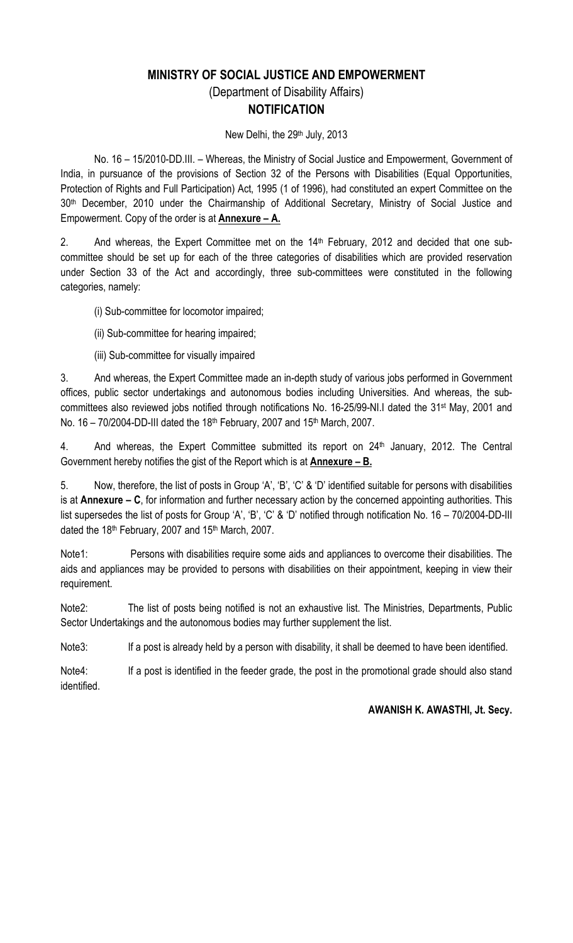# MINISTRY OF SOCIAL JUSTICE AND EMPOWERMENT (Department of Disability Affairs) **NOTIFICATION**

New Delhi, the 29<sup>th</sup> July, 2013

 No. 16 – 15/2010-DD.III. – Whereas, the Ministry of Social Justice and Empowerment, Government of India, in pursuance of the provisions of Section 32 of the Persons with Disabilities (Equal Opportunities, Protection of Rights and Full Participation) Act, 1995 (1 of 1996), had constituted an expert Committee on the 30th December, 2010 under the Chairmanship of Additional Secretary, Ministry of Social Justice and Empowerment. Copy of the order is at **Annexure – A.** 

2. And whereas, the Expert Committee met on the 14<sup>th</sup> February, 2012 and decided that one subcommittee should be set up for each of the three categories of disabilities which are provided reservation under Section 33 of the Act and accordingly, three sub-committees were constituted in the following categories, namely:

(i) Sub-committee for locomotor impaired;

(ii) Sub-committee for hearing impaired;

(iii) Sub-committee for visually impaired

3. And whereas, the Expert Committee made an in-depth study of various jobs performed in Government offices, public sector undertakings and autonomous bodies including Universities. And whereas, the subcommittees also reviewed jobs notified through notifications No. 16-25/99-NI.I dated the 31st May, 2001 and No. 16 - 70/2004-DD-III dated the 18<sup>th</sup> February, 2007 and 15<sup>th</sup> March, 2007.

4. And whereas, the Expert Committee submitted its report on 24<sup>th</sup> January, 2012. The Central Government hereby notifies the gist of the Report which is at  $\Delta$ nnexure – B.

5. Now, therefore, the list of posts in Group 'A', 'B', 'C' & 'D' identified suitable for persons with disabilities is at Annexure  $-$  C, for information and further necessary action by the concerned appointing authorities. This list supersedes the list of posts for Group 'A', 'B', 'C' & 'D' notified through notification No. 16 – 70/2004-DD-III dated the 18th February, 2007 and 15th March, 2007.

Note1: Persons with disabilities require some aids and appliances to overcome their disabilities. The aids and appliances may be provided to persons with disabilities on their appointment, keeping in view their requirement.

Note2: The list of posts being notified is not an exhaustive list. The Ministries, Departments, Public Sector Undertakings and the autonomous bodies may further supplement the list.

Note3: If a post is already held by a person with disability, it shall be deemed to have been identified.

Note4: If a post is identified in the feeder grade, the post in the promotional grade should also stand identified.

AWANISH K. AWASTHI, Jt. Secy.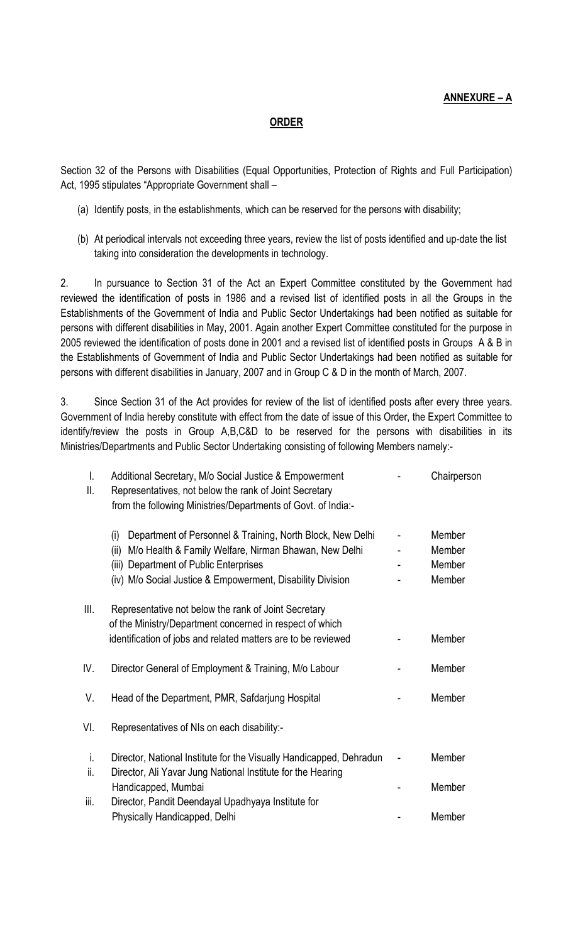## ANNEXURE – A

#### ORDER

Section 32 of the Persons with Disabilities (Equal Opportunities, Protection of Rights and Full Participation) Act, 1995 stipulates "Appropriate Government shall –

- (a) Identify posts, in the establishments, which can be reserved for the persons with disability;
- (b) At periodical intervals not exceeding three years, review the list of posts identified and up-date the list taking into consideration the developments in technology.

2. In pursuance to Section 31 of the Act an Expert Committee constituted by the Government had reviewed the identification of posts in 1986 and a revised list of identified posts in all the Groups in the Establishments of the Government of India and Public Sector Undertakings had been notified as suitable for persons with different disabilities in May, 2001. Again another Expert Committee constituted for the purpose in 2005 reviewed the identification of posts done in 2001 and a revised list of identified posts in Groups A & B in the Establishments of Government of India and Public Sector Undertakings had been notified as suitable for persons with different disabilities in January, 2007 and in Group C & D in the month of March, 2007.

3. Since Section 31 of the Act provides for review of the list of identified posts after every three years. Government of India hereby constitute with effect from the date of issue of this Order, the Expert Committee to identify/review the posts in Group A,B,C&D to be reserved for the persons with disabilities in its Ministries/Departments and Public Sector Undertaking consisting of following Members namely:-

| I.<br>Ш.  | Additional Secretary, M/o Social Justice & Empowerment<br>Representatives, not below the rank of Joint Secretary<br>from the following Ministries/Departments of Govt. of India:-                                                          | Chairperson                          |
|-----------|--------------------------------------------------------------------------------------------------------------------------------------------------------------------------------------------------------------------------------------------|--------------------------------------|
|           | Department of Personnel & Training, North Block, New Delhi<br>(i)<br>M/o Health & Family Welfare, Nirman Bhawan, New Delhi<br>(ii)<br>(iii) Department of Public Enterprises<br>(iv) M/o Social Justice & Empowerment, Disability Division | Member<br>Member<br>Member<br>Member |
| Ш.        | Representative not below the rank of Joint Secretary<br>of the Ministry/Department concerned in respect of which<br>identification of jobs and related matters are to be reviewed                                                          | Member                               |
| IV.       | Director General of Employment & Training, M/o Labour                                                                                                                                                                                      | Member                               |
| V.        | Head of the Department, PMR, Safdarjung Hospital                                                                                                                                                                                           | Member                               |
| VI.       | Representatives of NIs on each disability:-                                                                                                                                                                                                |                                      |
| i.<br>ii. | Director, National Institute for the Visually Handicapped, Dehradun<br>Director, Ali Yavar Jung National Institute for the Hearing                                                                                                         | Member                               |
| iii.      | Handicapped, Mumbai<br>Director, Pandit Deendayal Upadhyaya Institute for                                                                                                                                                                  | Member                               |
|           | Physically Handicapped, Delhi                                                                                                                                                                                                              | Member                               |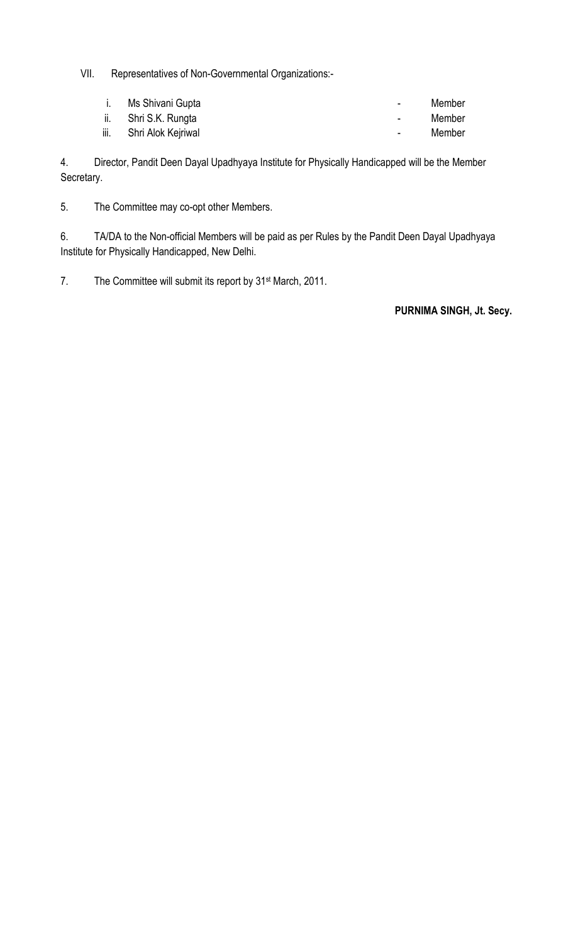VII. Representatives of Non-Governmental Organizations:-

|      | i. Ms Shivani Gupta  | $\sim$         | Member |
|------|----------------------|----------------|--------|
|      | ii. Shri S.K. Rungta | $\sim$         | Member |
| iii. | Shri Alok Kejriwal   | $\blacksquare$ | Member |

4. Director, Pandit Deen Dayal Upadhyaya Institute for Physically Handicapped will be the Member Secretary.

5. The Committee may co-opt other Members.

6. TA/DA to the Non-official Members will be paid as per Rules by the Pandit Deen Dayal Upadhyaya Institute for Physically Handicapped, New Delhi.

7. The Committee will submit its report by 31st March, 2011.

PURNIMA SINGH, Jt. Secy.